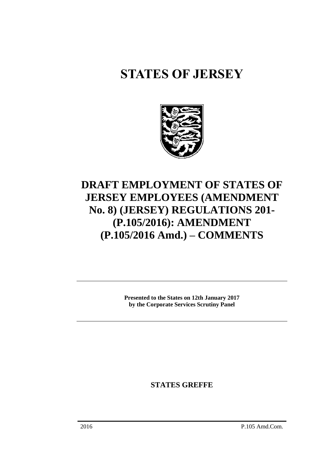## **STATES OF JERSEY**



## **DRAFT EMPLOYMENT OF STATES OF JERSEY EMPLOYEES (AMENDMENT No. 8) (JERSEY) REGULATIONS 201- (P.105/2016): AMENDMENT (P.105/2016 Amd.) – COMMENTS**

**Presented to the States on 12th January 2017 by the Corporate Services Scrutiny Panel**

**STATES GREFFE**